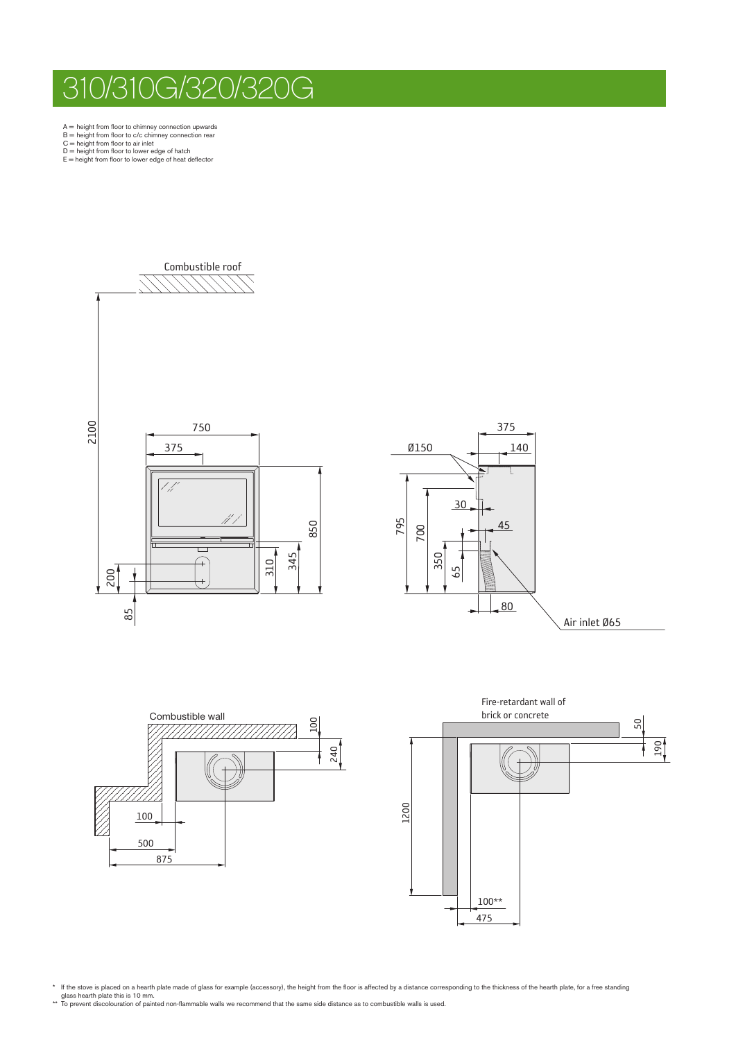## 310/310G/320/320G

 $A =$  height from floor to chimney connection upwards<br> $B =$  height from floor to c/c chimney connection rear<br> $C =$  height from floor to air inlet<br> $D =$  height from floor to lower edge of hatch<br> $E =$  height from floor to lower

- 
- 
- 









\* If the stove is placed on a hearth plate made of glass for example (accessory), the height from the floor is affected by a distance corresponding to the thickness of the hearth plate, for a free standing<br>glass hearth pla